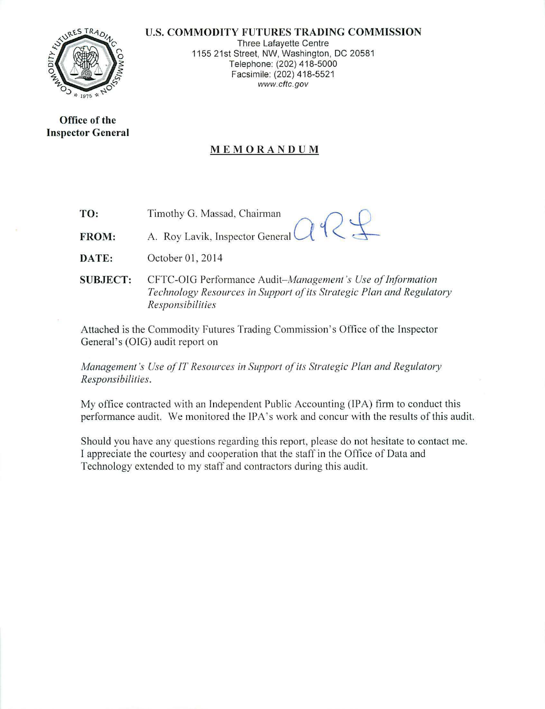#### U.S. **COMMODITY FUTURES TRADING COMMISSION**



Three Lafayette Centre 1155 21st Street, NW, Washington, DC 20581 Telephone: (202) 418-5000 Facsimile: (202) 418-5521 www.cftc.gov

**Office of the Inspector General** 

## **MEMORANDUM**

**TO:**  Timothy G. Massad, Chairman

**FROM:**  A. Roy Lavik, Inspector General

**DATE:** October 01, 2014

**SUBJECT:** CFTC-OIG Performance *Audit- Managemenl 's Use of Information Technology Resources in Support of its Strategic Plan and Regulatory Responsibilities* 

Attached is the Commodity Futures Trading Commission's Office of the Inspector General's (OIG) audit report on

*Management's Use of IT Resources in Support of its Strategic Plan and Regulatory Responsibilities.* 

My office contracted with an Independent Public Accounting (IPA) firm to conduct this performance audit. We monitored the IPA's work and concur with the results of this audit.

Should you have any questions regarding this report, please do not hesitate to contact me. I appreciate the courtesy and cooperation that the staff in the Office of Data and Technology extended to my staff and contractors during this audit.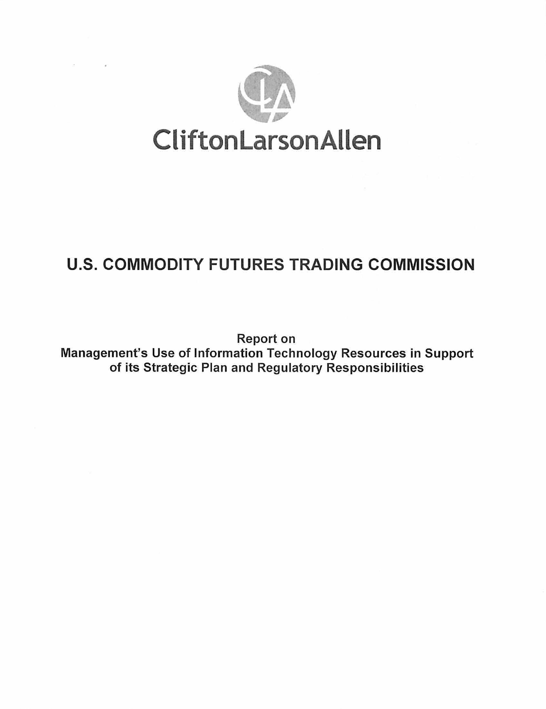

# U.S. COMMODITY FUTURES TRADING COMMISSION

Report on Management's Use of Information Technology Resources in Support of its Strategic Plan and Regulatory Responsibilities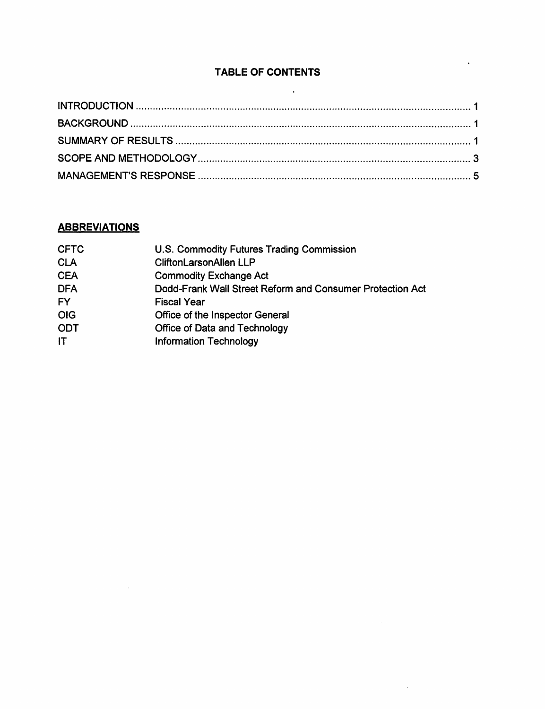## TABLE OF CONTENTS

 $\mathcal{L}^{\text{max}}_{\text{max}}$  , where  $\mathcal{L}^{\text{max}}_{\text{max}}$ 

 $\mathbf{r}$ 

 $\sim 10^{-11}$ 

## **ABBREVIATIONS**

| U.S. Commodity Futures Trading Commission                 |
|-----------------------------------------------------------|
| <b>CliftonLarsonAllen LLP</b>                             |
| <b>Commodity Exchange Act</b>                             |
| Dodd-Frank Wall Street Reform and Consumer Protection Act |
| <b>Fiscal Year</b>                                        |
| Office of the Inspector General                           |
| <b>Office of Data and Technology</b>                      |
| <b>Information Technology</b>                             |
|                                                           |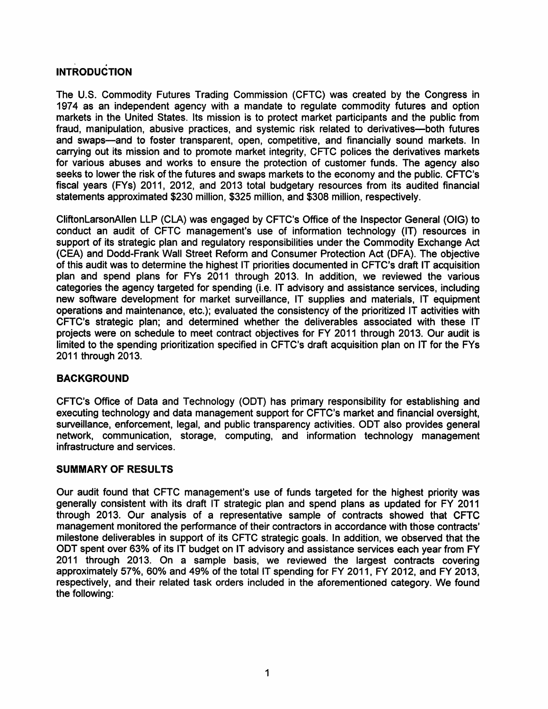# . INTRODUCTION

The U.S. Commodity Futures Trading Commission (CFTC) was created by the Congress in 1974 as an independent agency with a mandate to regulate commodity futures and option markets in the United States. Its mission is to protect market participants and the public from fraud, manipulation, abusive practices, and systemic risk related to derivatives--both futures and swaps-and to foster transparent, open, competitive, and financially sound markets. In carrying out its mission and to promote market integrity, CFTC polices the derivatives markets for various abuses and works to ensure the protection of customer funds. The agency also seeks to lower the risk of the futures and swaps markets to the economy and the public. CFTC's fiscal years (FYs) 2011, 2012, and 2013 total budgetary resources from its audited financial statements approximated \$230 million, \$325 million, and \$308 million, respectively.

CliftonLarsonAIIen LLP (CLA) was engaged by CFTC's Office of the Inspector General {OIG) to conduct an audit of CFTC management's use of information technology {IT) resources in support of its strategic plan and regulatory responsibilities under the Commodity Exchange Act (CEA) and Dodd-Frank Wall Street Reform and Consumer Protection Act (DFA). The objective of this audit was to determine the highest IT priorities documented in CFTC's draft IT acquisition plan and spend plans for FYs 2011 through 2013. In addition, we reviewed the various categories the agency targeted for spending (i.e. IT advisory and assistance services, including new software development for market surveillance, IT supplies and materials, IT equipment operations and maintenance, etc.); evaluated the consistency of the prioritized IT activities with CFTC's strategic plan; and determined whether the deliverables associated with these IT projects were on schedule to meet contract objectives for FY 2011 through 2013. Our audit is limited to the spending prioritization specified in CFTC's draft acquisition plan on IT for the FYs 2011 through 2013.

## BACKGROUND

CFTC's Office of Data and Technology (ODT) has primary responsibility for establishing and executing technology and data management support for CFTC's market and financial oversight, surveillance, enforcement, legal, and public transparency activities. ODT also provides general network, communication, storage, computing, and information technology management infrastructure and services.

## SUMMARY OF RESULTS

Our audit found that CFTC management's use of funds targeted for the highest priority was generally consistent with its draft IT strategic plan and spend plans as updated for FY 2011 through 2013. Our analysis of a representative sample of contracts showed that CFTC management monitored the performance of their contractors in accordance with those contracts' milestone deliverables in support of its CFTC strategic goals. In addition, we observed that the ODT spent over 63% of its IT budget on IT advisory and assistance services each year from FY 2011 through 2013. On a sample basis, we reviewed the largest contracts covering approximately 57%, 60% and 49% of the total IT spending for FY 2011, FY 2012, and FY 2013, respectively, and their related task orders included in the aforementioned category. We found the following: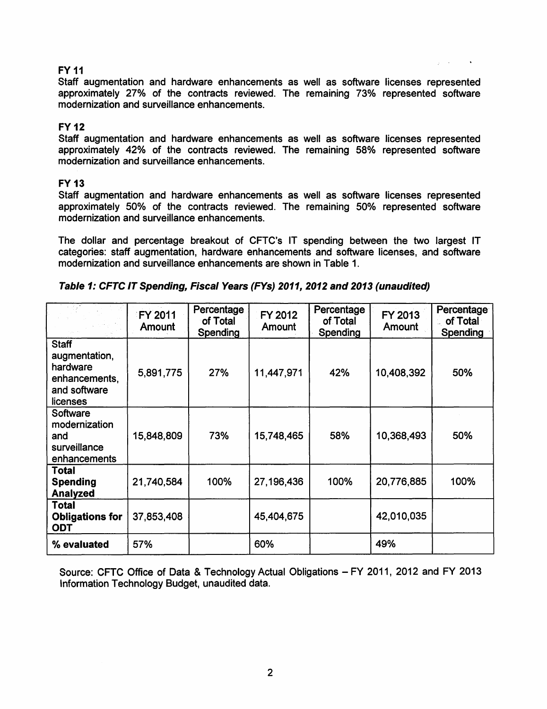#### FY 11

Staff augmentation and hardware enhancements as well as software licenses represented approximately 27% of the contracts reviewed. The remaining 73%, represented software modernization and surveillance enhancements.

#### FY12

Staff augmentation and hardware enhancements as well as software licenses represented approximately 42% of the contracts reviewed. The remaining 58% represented software modernization and surveillance enhancements.

#### **FY 13**

Staff augmentation and hardware enhancements as well as software licenses represented approximately 50% of the contracts reviewed. The remaining 50% represented software modernization and surveillance enhancements.

The dollar and percentage breakout of CFTC's IT spending between the two largest IT categories: staff augmentation, hardware enhancements and software licenses, and software modernization and surveillance enhancements are shown in Table 1.

|                                                                                        | FY 2011<br><b>Amount</b> | Percentage<br>of Total<br><b>Spending</b> | FY 2012<br>Amount | Percentage<br>of Total<br>Spending | FY 2013<br><b>Amount</b> | Percentage<br>of Total<br>Spending |
|----------------------------------------------------------------------------------------|--------------------------|-------------------------------------------|-------------------|------------------------------------|--------------------------|------------------------------------|
| <b>Staff</b><br>augmentation,<br>hardware<br>enhancements,<br>and software<br>licenses | 5,891,775                | 27%                                       | 11,447,971        | 42%                                | 10,408,392               | 50%                                |
| Software<br>modernization<br>and<br>surveillance<br>enhancements                       | 15,848,809               | 73%                                       | 15,748,465        | 58%                                | 10,368,493               | 50%                                |
| <b>Total</b><br><b>Spending</b><br><b>Analyzed</b>                                     | 21,740,584               | 100%                                      | 27,196,436        | 100%                               | 20,776,885               | 100%                               |
| Total<br><b>Obligations for</b><br><b>ODT</b>                                          | 37,853,408               |                                           | 45,404,675        |                                    | 42,010,035               |                                    |
| % evaluated                                                                            | 57%                      |                                           | 60%               |                                    | 49%                      |                                    |

Source: CFTC Office of Data & Technology Actual Obligations- FY 2011, 2012 and FY 2013 Information Technology Budget, unaudited data.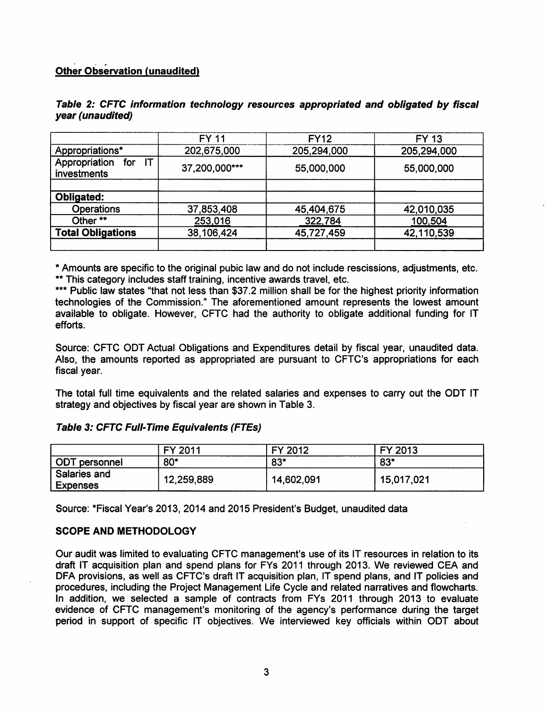## Other Observation (unaudited)

|                                           | <b>FY 11</b>  | <b>FY12</b> | FY 13       |
|-------------------------------------------|---------------|-------------|-------------|
| Appropriations*                           | 202,675,000   | 205,294,000 | 205,294,000 |
| Appropriation<br>IT<br>for<br>investments | 37,200,000*** | 55,000,000  | 55,000,000  |
|                                           |               |             |             |
| <b>Obligated:</b>                         |               |             |             |
| <b>Operations</b>                         | 37,853,408    | 45,404,675  | 42,010,035  |
| Other **                                  | 253,016       | 322,784     | 100,504     |
| <b>Total Obligations</b>                  | 38,106,424    | 45,727,459  | 42,110,539  |
|                                           |               |             |             |

#### Table 2: CFTC information technology resources appropriated and obligated by fiscal year (unaudited)

\* Amounts are specific to the original pubic law and do not include rescissions, adjustments, etc. \*\* This category includes staff training, incentive awards travel, etc.

\*\*\* Public law states "that not less than \$37.2 million shall be for the highest priority information technologies of the Commission." The aforementioned amount represents the lowest amount available to obligate. However, CFTC had the authority to obligate additional funding for IT efforts.

Source: CFTC ODT Actual Obligations and Expenditures detail by fiscal year, unaudited data. Also, the amounts reported as appropriated are pursuant to CFTC's appropriations for each fiscal year.

The total full time equivalents and the related salaries and expenses to carry out the ODT IT strategy and objectives by fiscal year are shown in Table 3.

## Table 3: CFTC Full-Time Equivalents (FTEs)

|                                 | FY 2011    | FY 2012    | FY 2013    |
|---------------------------------|------------|------------|------------|
| <b>ODT</b> personnel            | $80*$      | $83*$      | $83*$      |
| Salaries and<br><b>Expenses</b> | 12,259,889 | 14,602,091 | 15,017,021 |

Source: \*Fiscal Year's 2013, 2014 and 2015 President's Budget, unaudited data

#### SCOPE AND METHODOLOGY

Our audit was limited to evaluating CFTC management's use of its IT resources in relation to its draft IT acquisition plan and spend plans for FYs 2011 through 2013. We reviewed CEA and DFA provisions, as well as CFTC's draft IT acquisition plan, IT spend plans, and IT policies and procedures, including the Project Management Life Cycle and related narratives and flowcharts. In addition, we selected a sample of contracts from FYs 2011 through 2013 to evaluate evidence of CFTC management's monitoring of the agency's performance during the target period in support of specific IT objectives. We interviewed key officials within ODT about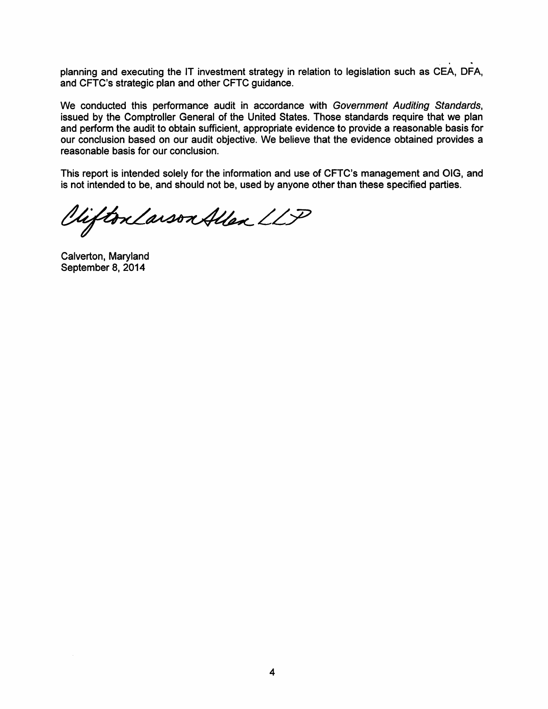planning and executing the IT investment strategy in relation to legislation such as CEA, DFA, and CFTC's strategic plan and other CFTC guidance.

We conducted this performance audit in accordance with Government Auditing Standards, issued by the Comptroller General of the United States. Those standards require that we plan and perform the audit to obtain sufficient, appropriate evidence to provide a reasonable basis for our conclusion based on our audit objective. We believe that the evidence obtained provides a reasonable basis for our conclusion.

This report is intended solely for the information and use of CFTC's management and OIG, and is not intended to be, and should not be, used by anyone other than these specified parties.

Viifton Larson Allen LLP

Calverton, Maryland September 8, 2014